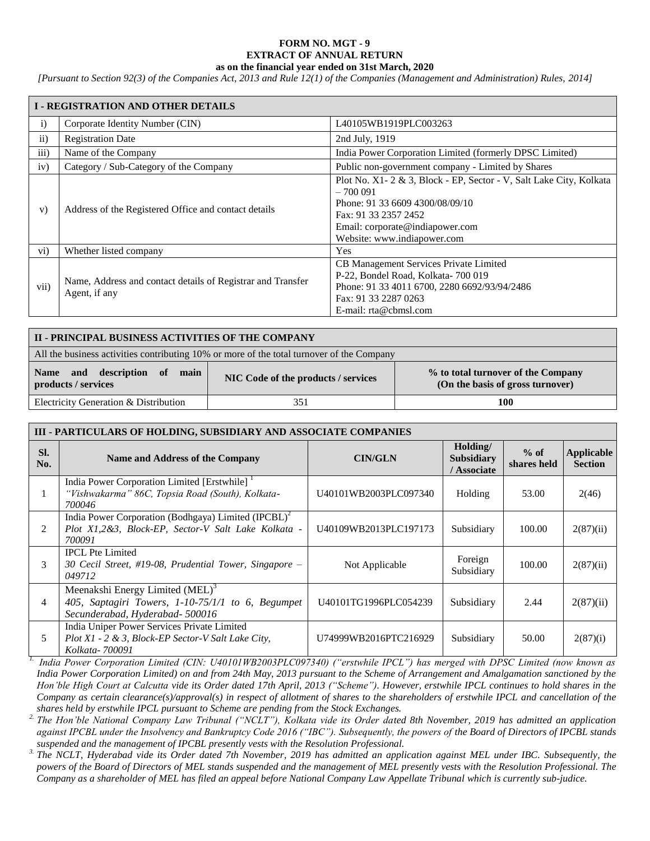## **FORM NO. MGT - 9 EXTRACT OF ANNUAL RETURN as on the financial year ended on 31st March, 2020**

*[Pursuant to Section 92(3) of the Companies Act, 2013 and Rule 12(1) of the Companies (Management and Administration) Rules, 2014]*

|               | <b>I-REGISTRATION AND OTHER DETAILS</b>                                      |                                                                                                                                                                                                              |  |  |  |  |  |  |
|---------------|------------------------------------------------------------------------------|--------------------------------------------------------------------------------------------------------------------------------------------------------------------------------------------------------------|--|--|--|--|--|--|
| $\mathbf{i}$  | Corporate Identity Number (CIN)                                              | L40105WB1919PLC003263                                                                                                                                                                                        |  |  |  |  |  |  |
| $\mathbf{ii}$ | <b>Registration Date</b>                                                     | 2nd July, 1919                                                                                                                                                                                               |  |  |  |  |  |  |
| iii)          | Name of the Company                                                          | India Power Corporation Limited (formerly DPSC Limited)                                                                                                                                                      |  |  |  |  |  |  |
| iv)           | Category / Sub-Category of the Company                                       | Public non-government company - Limited by Shares                                                                                                                                                            |  |  |  |  |  |  |
| V)            | Address of the Registered Office and contact details                         | Plot No. X1-2 & 3, Block - EP, Sector - V, Salt Lake City, Kolkata<br>$-700091$<br>Phone: 91 33 6609 4300/08/09/10<br>Fax: 91 33 2357 2452<br>Email: corporate@indiapower.com<br>Website: www.indiapower.com |  |  |  |  |  |  |
| $\rm vi)$     | Whether listed company                                                       | Yes                                                                                                                                                                                                          |  |  |  |  |  |  |
| vii)          | Name, Address and contact details of Registrar and Transfer<br>Agent, if any | CB Management Services Private Limited<br>P-22, Bondel Road, Kolkata-700 019<br>Phone: 91 33 4011 6700, 2280 6692/93/94/2486<br>Fax: 91 33 2287 0263<br>E-mail: rta@cbmsl.com                                |  |  |  |  |  |  |

| II - PRINCIPAL BUSINESS ACTIVITIES OF THE COMPANY                                         |                                     |                                                                        |  |  |  |  |  |  |
|-------------------------------------------------------------------------------------------|-------------------------------------|------------------------------------------------------------------------|--|--|--|--|--|--|
| All the business activities contributing 10% or more of the total turnover of the Company |                                     |                                                                        |  |  |  |  |  |  |
| Name and description of main<br>products / services                                       | NIC Code of the products / services | % to total turnover of the Company<br>(On the basis of gross turnover) |  |  |  |  |  |  |
| Electricity Generation & Distribution<br>351<br>100                                       |                                     |                                                                        |  |  |  |  |  |  |

|            | III - PARTICULARS OF HOLDING, SUBSIDIARY AND ASSOCIATE COMPANIES                                                           |                       |                                              |                       |                                     |  |  |  |  |  |  |
|------------|----------------------------------------------------------------------------------------------------------------------------|-----------------------|----------------------------------------------|-----------------------|-------------------------------------|--|--|--|--|--|--|
| SI.<br>No. | <b>Name and Address of the Company</b>                                                                                     | <b>CIN/GLN</b>        | Holding/<br><b>Subsidiary</b><br>/ Associate | $%$ of<br>shares held | <b>Applicable</b><br><b>Section</b> |  |  |  |  |  |  |
|            | India Power Corporation Limited [Erstwhile]<br>"Vishwakarma" 86C, Topsia Road (South), Kolkata-<br>700046                  | U40101WB2003PLC097340 | Holding                                      | 53.00                 | 2(46)                               |  |  |  |  |  |  |
| 2          | India Power Corporation (Bodhgaya) Limited $(IPCBL)^2$<br>Plot X1,2&3, Block-EP, Sector-V Salt Lake Kolkata -<br>700091    | U40109WB2013PLC197173 | Subsidiary                                   | 100.00                | 2(87)(ii)                           |  |  |  |  |  |  |
| 3          | <b>IPCL Pte Limited</b><br>30 Cecil Street, #19-08, Prudential Tower, Singapore $-$<br>049712                              | Not Applicable        | Foreign<br>Subsidiary                        | 100.00                | 2(87)(ii)                           |  |  |  |  |  |  |
| 4          | Meenakshi Energy Limited $(MEL)^3$<br>405, Saptagiri Towers, 1-10-75/1/1 to 6, Begumpet<br>Secunderabad, Hyderabad- 500016 | U40101TG1996PLC054239 | Subsidiary                                   | 2.44                  | 2(87)(ii)                           |  |  |  |  |  |  |
| 5          | India Uniper Power Services Private Limited<br>$Plot X1 - 2 \& 3$ , Block-EP Sector-V Salt Lake City,<br>Kolkata-700091    | U74999WB2016PTC216929 | Subsidiary                                   | 50.00                 | 2(87)(i)                            |  |  |  |  |  |  |

*1. India Power Corporation Limited (CIN: U40101WB2003PLC097340) ("erstwhile IPCL") has merged with DPSC Limited (now known as India Power Corporation Limited) on and from 24th May, 2013 pursuant to the Scheme of Arrangement and Amalgamation sanctioned by the Hon'ble High Court at Calcutta vide its Order dated 17th April, 2013 ("Scheme"). However, erstwhile IPCL continues to hold shares in the Company as certain clearance(s)/approval(s) in respect of allotment of shares to the shareholders of erstwhile IPCL and cancellation of the shares held by erstwhile IPCL pursuant to Scheme are pending from the Stock Exchanges.*

*2. The Hon'ble National Company Law Tribunal ("NCLT"), Kolkata vide its Order dated 8th November, 2019 has admitted an application against IPCBL under the Insolvency and Bankruptcy Code 2016 ("IBC"). Subsequently, the powers of the Board of Directors of IPCBL stands suspended and the management of IPCBL presently vests with the Resolution Professional.* 

*3. The NCLT, Hyderabad vide its Order dated 7th November, 2019 has admitted an application against MEL under IBC. Subsequently, the powers of the Board of Directors of MEL stands suspended and the management of MEL presently vests with the Resolution Professional. The Company as a shareholder of MEL has filed an appeal before National Company Law Appellate Tribunal which is currently sub-judice.*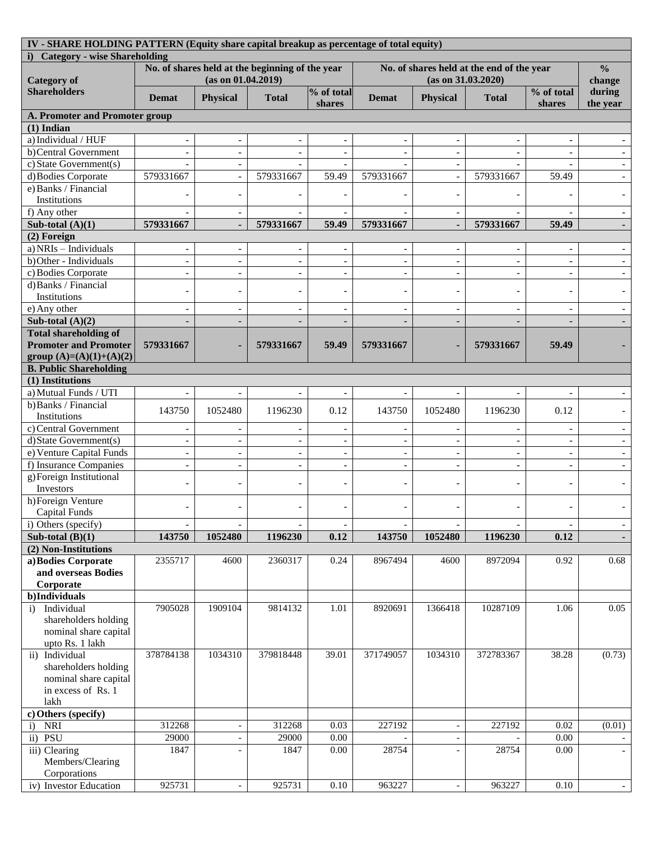| IV - SHARE HOLDING PATTERN (Equity share capital breakup as percentage of total equity) |                                                                       |                          |                          |                          |                                                                 |                          |                |                                      |                          |
|-----------------------------------------------------------------------------------------|-----------------------------------------------------------------------|--------------------------|--------------------------|--------------------------|-----------------------------------------------------------------|--------------------------|----------------|--------------------------------------|--------------------------|
| i) Category - wise Shareholding                                                         |                                                                       |                          |                          |                          |                                                                 |                          |                |                                      |                          |
| <b>Category of</b>                                                                      | No. of shares held at the beginning of the year<br>(as on 01.04.2019) |                          |                          |                          | No. of shares held at the end of the year<br>(as on 31.03.2020) |                          |                |                                      | $\frac{0}{0}$<br>change  |
| <b>Shareholders</b>                                                                     | <b>Demat</b>                                                          | <b>Physical</b>          | <b>Total</b>             | % of total<br>shares     | <b>Demat</b>                                                    | <b>Physical</b>          | <b>Total</b>   | % of total<br>shares                 | during<br>the year       |
| A. Promoter and Promoter group                                                          |                                                                       |                          |                          |                          |                                                                 |                          |                |                                      |                          |
| $(1)$ Indian                                                                            |                                                                       |                          |                          |                          |                                                                 |                          |                |                                      |                          |
| a) Individual / HUF                                                                     |                                                                       |                          |                          |                          |                                                                 |                          |                |                                      |                          |
| b)Central Government                                                                    |                                                                       |                          |                          |                          |                                                                 |                          |                |                                      |                          |
| c) State Government(s)                                                                  |                                                                       |                          |                          |                          |                                                                 |                          |                |                                      |                          |
| d) Bodies Corporate                                                                     | 579331667                                                             | $\overline{a}$           | 579331667                | 59.49                    | 579331667                                                       | $\sim$                   | 579331667      | 59.49                                |                          |
| e) Banks / Financial                                                                    |                                                                       |                          |                          |                          |                                                                 |                          |                |                                      |                          |
| Institutions                                                                            |                                                                       |                          |                          |                          |                                                                 |                          |                |                                      |                          |
| f) Any other                                                                            |                                                                       |                          |                          |                          |                                                                 |                          |                |                                      |                          |
| Sub-total $(A)(1)$                                                                      | 579331667                                                             |                          | 579331667                | 59.49                    | 579331667                                                       |                          | 579331667      | 59.49                                |                          |
| (2) Foreign                                                                             |                                                                       |                          |                          |                          |                                                                 |                          |                |                                      |                          |
| a) NRIs - Individuals                                                                   | $\overline{\phantom{a}}$                                              |                          | $\overline{\phantom{a}}$ |                          |                                                                 |                          |                |                                      |                          |
| b) Other - Individuals                                                                  | $\overline{\phantom{a}}$                                              |                          | $\overline{\phantom{a}}$ |                          |                                                                 |                          |                |                                      |                          |
| c) Bodies Corporate                                                                     | $\overline{\phantom{a}}$                                              |                          | $\overline{\phantom{a}}$ |                          |                                                                 |                          |                |                                      |                          |
| d) Banks / Financial                                                                    |                                                                       |                          |                          |                          |                                                                 |                          |                |                                      |                          |
| Institutions                                                                            | $\overline{\phantom{a}}$                                              |                          | $\overline{\phantom{0}}$ |                          |                                                                 |                          |                |                                      |                          |
| e) Any other                                                                            | $\overline{a}$                                                        | $\overline{a}$           | $\overline{\phantom{a}}$ |                          |                                                                 |                          | $\blacksquare$ | $\overline{a}$                       |                          |
| Sub-total $(A)(2)$                                                                      | $\overline{\phantom{a}}$                                              | $\overline{\phantom{a}}$ | $\overline{\phantom{a}}$ |                          |                                                                 |                          |                |                                      |                          |
| <b>Total shareholding of</b>                                                            |                                                                       |                          |                          |                          |                                                                 |                          |                |                                      |                          |
| <b>Promoter and Promoter</b>                                                            | 579331667                                                             |                          | 579331667                | 59.49                    | 579331667                                                       |                          | 579331667      | 59.49                                |                          |
| group $(A)=(A)(1)+(A)(2)$                                                               |                                                                       |                          |                          |                          |                                                                 |                          |                |                                      |                          |
| <b>B. Public Shareholding</b>                                                           |                                                                       |                          |                          |                          |                                                                 |                          |                |                                      |                          |
| (1) Institutions                                                                        |                                                                       |                          |                          |                          |                                                                 |                          |                |                                      |                          |
| a) Mutual Funds / UTI                                                                   | $\overline{\phantom{a}}$                                              | $\overline{\phantom{a}}$ | $\overline{\phantom{a}}$ |                          | $\overline{\phantom{a}}$                                        | $\sim$                   |                |                                      |                          |
| b) Banks / Financial                                                                    |                                                                       |                          |                          |                          |                                                                 |                          |                |                                      |                          |
| Institutions                                                                            | 143750                                                                | 1052480                  | 1196230                  | 0.12                     | 143750                                                          | 1052480                  | 1196230        | 0.12                                 |                          |
| c) Central Government                                                                   |                                                                       |                          |                          |                          |                                                                 |                          |                |                                      |                          |
| d) State Government(s)                                                                  |                                                                       |                          | $\overline{\phantom{a}}$ |                          |                                                                 |                          |                |                                      |                          |
| e) Venture Capital Funds                                                                | $\overline{\phantom{a}}$                                              | $\overline{\phantom{a}}$ | $\overline{\phantom{a}}$ | $\overline{\phantom{a}}$ |                                                                 |                          |                | $\overline{\phantom{a}}$             |                          |
| f) Insurance Companies                                                                  | $\overline{\phantom{a}}$                                              | $\overline{\phantom{a}}$ | $\blacksquare$           |                          |                                                                 |                          |                |                                      |                          |
| g) Foreign Institutional                                                                |                                                                       |                          |                          |                          |                                                                 |                          |                |                                      |                          |
| Investors                                                                               | $\overline{\phantom{a}}$                                              |                          | $\overline{\phantom{0}}$ |                          |                                                                 |                          |                |                                      |                          |
| h)Foreign Venture                                                                       |                                                                       |                          |                          |                          |                                                                 |                          |                |                                      |                          |
| <b>Capital Funds</b>                                                                    |                                                                       |                          |                          |                          |                                                                 |                          |                |                                      |                          |
| i) Others (specify)                                                                     |                                                                       |                          |                          |                          |                                                                 |                          |                |                                      |                          |
| Sub-total $(B)(1)$                                                                      | 143750                                                                | 1052480                  | 1196230                  | 0.12                     | 143750                                                          | 1052480                  | 1196230        | $\qquad \qquad \blacksquare$<br>0.12 | $\overline{\phantom{a}}$ |
| (2) Non-Institutions                                                                    |                                                                       |                          |                          |                          |                                                                 |                          |                |                                      |                          |
| a) Bodies Corporate                                                                     | 2355717                                                               | 4600                     | 2360317                  | 0.24                     | 8967494                                                         | 4600                     | 8972094        | 0.92                                 | 0.68                     |
| and overseas Bodies                                                                     |                                                                       |                          |                          |                          |                                                                 |                          |                |                                      |                          |
| Corporate                                                                               |                                                                       |                          |                          |                          |                                                                 |                          |                |                                      |                          |
| b)Individuals                                                                           |                                                                       |                          |                          |                          |                                                                 |                          |                |                                      |                          |
| Individual<br>$\ddot{i}$                                                                | 7905028                                                               | 1909104                  | 9814132                  | 1.01                     | 8920691                                                         | 1366418                  | 10287109       | 1.06                                 | 0.05                     |
| shareholders holding                                                                    |                                                                       |                          |                          |                          |                                                                 |                          |                |                                      |                          |
| nominal share capital                                                                   |                                                                       |                          |                          |                          |                                                                 |                          |                |                                      |                          |
| upto Rs. 1 lakh                                                                         |                                                                       |                          |                          |                          |                                                                 |                          |                |                                      |                          |
| ii) Individual                                                                          | 378784138                                                             | 1034310                  | 379818448                | 39.01                    | 371749057                                                       | 1034310                  | 372783367      | 38.28                                | (0.73)                   |
| shareholders holding                                                                    |                                                                       |                          |                          |                          |                                                                 |                          |                |                                      |                          |
| nominal share capital                                                                   |                                                                       |                          |                          |                          |                                                                 |                          |                |                                      |                          |
| in excess of Rs. 1                                                                      |                                                                       |                          |                          |                          |                                                                 |                          |                |                                      |                          |
| lakh                                                                                    |                                                                       |                          |                          |                          |                                                                 |                          |                |                                      |                          |
| c) Others (specify)                                                                     |                                                                       |                          |                          |                          |                                                                 |                          |                |                                      |                          |
| <b>NRI</b><br>$\ddot{i}$                                                                | 312268                                                                |                          | 312268                   | 0.03                     | 227192                                                          |                          | 227192         | 0.02                                 | (0.01)                   |
| ii) PSU                                                                                 | 29000                                                                 |                          | 29000                    | 0.00                     |                                                                 |                          |                | 0.00                                 |                          |
| iii) Clearing                                                                           | 1847                                                                  |                          | 1847                     | 0.00                     | 28754                                                           |                          | 28754          | 0.00                                 |                          |
| Members/Clearing                                                                        |                                                                       |                          |                          |                          |                                                                 |                          |                |                                      |                          |
| Corporations                                                                            |                                                                       |                          |                          |                          |                                                                 |                          |                |                                      |                          |
| iv) Investor Education                                                                  | 925731                                                                | $\overline{\phantom{a}}$ | 925731                   | $0.10\,$                 | 963227                                                          | $\overline{\phantom{a}}$ | 963227         | 0.10                                 |                          |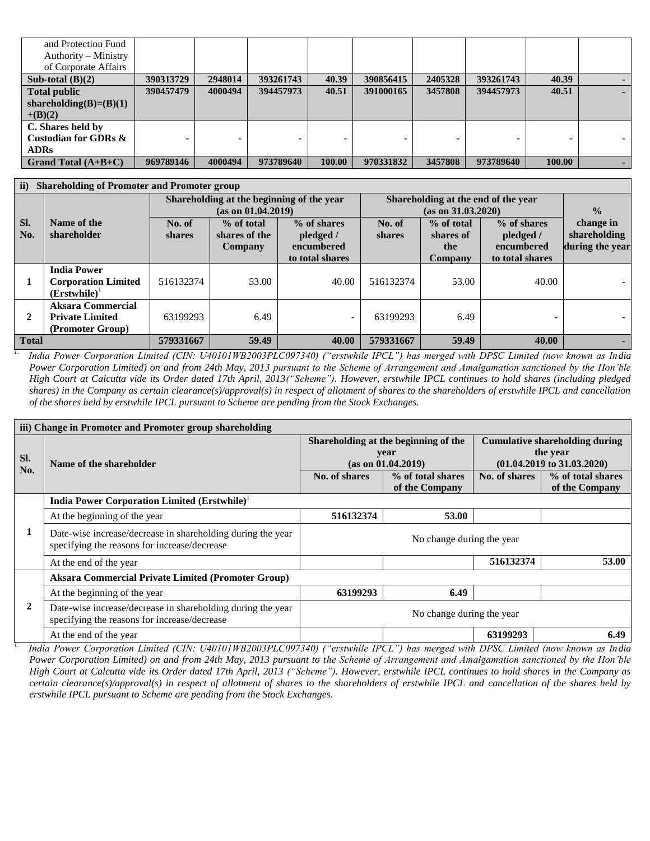| and Protection Fund       |           |         |           |        |           |         |           |        |  |
|---------------------------|-----------|---------|-----------|--------|-----------|---------|-----------|--------|--|
| Authority – Ministry      |           |         |           |        |           |         |           |        |  |
| of Corporate Affairs      |           |         |           |        |           |         |           |        |  |
| Sub-total $(B)(2)$        | 390313729 | 2948014 | 393261743 | 40.39  | 390856415 | 2405328 | 393261743 | 40.39  |  |
| <b>Total public</b>       | 390457479 | 4000494 | 394457973 | 40.51  | 391000165 | 3457808 | 394457973 | 40.51  |  |
| shareholding(B)= $(B)(1)$ |           |         |           |        |           |         |           |        |  |
| $+(B)(2)$                 |           |         |           |        |           |         |           |        |  |
| C. Shares held by         |           |         |           |        |           |         |           |        |  |
| Custodian for GDRs &      |           |         | -         |        |           |         |           |        |  |
| <b>ADRs</b>               |           |         |           |        |           |         |           |        |  |
| Grand Total $(A+B+C)$     | 969789146 | 4000494 | 973789640 | 100.00 | 970331832 | 3457808 | 973789640 | 100.00 |  |

| $\mathbf{ii}$ | <b>Shareholding of Promoter and Promoter group</b> |               |                    |                                           |                                     |               |                 |                 |  |
|---------------|----------------------------------------------------|---------------|--------------------|-------------------------------------------|-------------------------------------|---------------|-----------------|-----------------|--|
|               |                                                    |               |                    | Shareholding at the beginning of the year | Shareholding at the end of the year |               |                 |                 |  |
|               |                                                    |               | (as on 01.04.2019) |                                           |                                     | $\frac{0}{2}$ |                 |                 |  |
| SI.           | Name of the                                        | No. of        | % of total         | % of shares                               | No. of                              | % of total    | % of shares     | change in       |  |
| No.           | shareholder                                        | <b>shares</b> | shares of the      | pledged /                                 | shares                              | shares of     | pledged /       | shareholding    |  |
|               |                                                    |               | Company            | encumbered                                |                                     | the           | encumbered      | during the year |  |
|               |                                                    |               |                    | to total shares                           |                                     | Company       | to total shares |                 |  |
|               | <b>India Power</b>                                 |               |                    |                                           |                                     |               |                 |                 |  |
|               | <b>Corporation Limited</b>                         | 516132374     | 53.00              | 40.00                                     | 516132374                           | 53.00         | 40.00           |                 |  |
|               | (Erstwhile)                                        |               |                    |                                           |                                     |               |                 |                 |  |
|               | <b>Aksara Commercial</b>                           |               |                    |                                           |                                     |               |                 |                 |  |
| 2             | <b>Private Limited</b>                             | 63199293      | 6.49               |                                           | 63199293                            | 6.49          |                 |                 |  |
|               | (Promoter Group)                                   |               |                    |                                           |                                     |               |                 |                 |  |
| <b>Total</b>  |                                                    | 579331667     | 59.49              | 40.00                                     | 579331667                           | 59.49         | 40.00           |                 |  |

*1. India Power Corporation Limited (CIN: U40101WB2003PLC097340) ("erstwhile IPCL") has merged with DPSC Limited (now known as India Power Corporation Limited) on and from 24th May, 2013 pursuant to the Scheme of Arrangement and Amalgamation sanctioned by the Hon'ble High Court at Calcutta vide its Order dated 17th April, 2013("Scheme"). However, erstwhile IPCL continues to hold shares (including pledged shares) in the Company as certain clearance(s)/approval(s) in respect of allotment of shares to the shareholders of erstwhile IPCL and cancellation of the shares held by erstwhile IPCL pursuant to Scheme are pending from the Stock Exchanges.*

|     | iii) Change in Promoter and Promoter group shareholding                                                     |                           |                                      |               |                                       |  |
|-----|-------------------------------------------------------------------------------------------------------------|---------------------------|--------------------------------------|---------------|---------------------------------------|--|
|     |                                                                                                             |                           | Shareholding at the beginning of the |               | <b>Cumulative shareholding during</b> |  |
| SI. |                                                                                                             |                           | year                                 |               | the year                              |  |
| No. | Name of the shareholder                                                                                     |                           | (as on 01.04.2019)                   |               | $(01.04.2019 \text{ to } 31.03.2020)$ |  |
|     |                                                                                                             | No. of shares             | % of total shares                    | No. of shares | % of total shares                     |  |
|     |                                                                                                             |                           | of the Company                       |               | of the Company                        |  |
|     | <b>India Power Corporation Limited (Erstwhile)</b> <sup>1</sup>                                             |                           |                                      |               |                                       |  |
|     | At the beginning of the year                                                                                | 516132374                 | 53.00                                |               |                                       |  |
| 1   | Date-wise increase/decrease in shareholding during the year<br>specifying the reasons for increase/decrease |                           | No change during the year            |               |                                       |  |
|     | At the end of the year                                                                                      |                           |                                      | 516132374     | 53.00                                 |  |
|     | <b>Aksara Commercial Private Limited (Promoter Group)</b>                                                   |                           |                                      |               |                                       |  |
|     | At the beginning of the year                                                                                | 63199293                  | 6.49                                 |               |                                       |  |
| 2   | Date-wise increase/decrease in shareholding during the year<br>specifying the reasons for increase/decrease | No change during the year |                                      |               |                                       |  |
|     | At the end of the year                                                                                      |                           |                                      | 63199293      | 6.49                                  |  |

*1. India Power Corporation Limited (CIN: U40101WB2003PLC097340) ("erstwhile IPCL") has merged with DPSC Limited (now known as India Power Corporation Limited) on and from 24th May, 2013 pursuant to the Scheme of Arrangement and Amalgamation sanctioned by the Hon'ble High Court at Calcutta vide its Order dated 17th April, 2013 ("Scheme"). However, erstwhile IPCL continues to hold shares in the Company as certain clearance(s)/approval(s) in respect of allotment of shares to the shareholders of erstwhile IPCL and cancellation of the shares held by erstwhile IPCL pursuant to Scheme are pending from the Stock Exchanges.*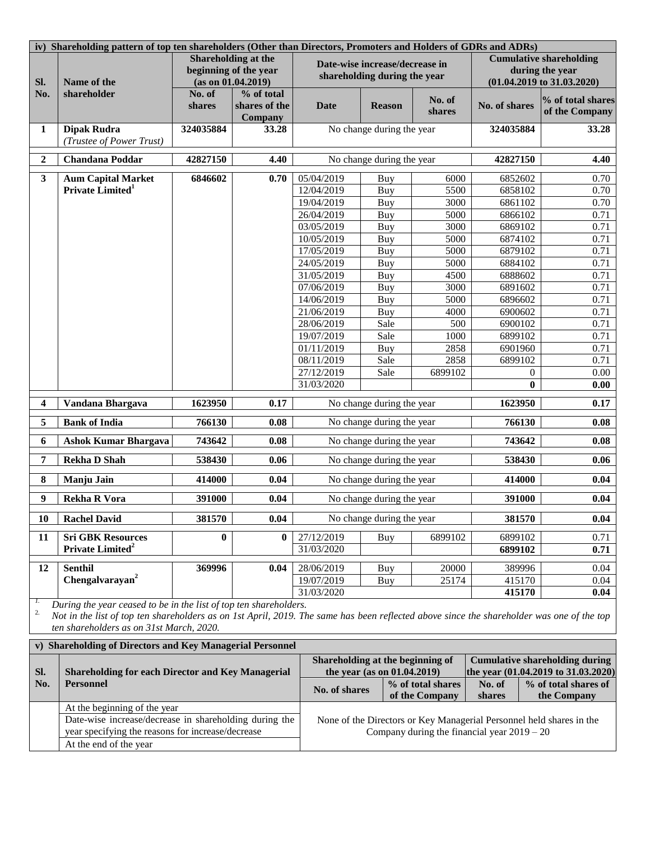|                         | iv) Shareholding pattern of top ten shareholders (Other than Directors, Promoters and Holders of GDRs and ADRs)                                                                                                                                            |                  |                                                                           |                          |                                                                |                                     |                                                                      |                                                                                            |  |
|-------------------------|------------------------------------------------------------------------------------------------------------------------------------------------------------------------------------------------------------------------------------------------------------|------------------|---------------------------------------------------------------------------|--------------------------|----------------------------------------------------------------|-------------------------------------|----------------------------------------------------------------------|--------------------------------------------------------------------------------------------|--|
| Sl.                     | Name of the                                                                                                                                                                                                                                                |                  | <b>Shareholding at the</b><br>beginning of the year<br>(as on 01.04.2019) |                          | Date-wise increase/decrease in<br>shareholding during the year |                                     |                                                                      | <b>Cumulative shareholding</b><br>during the year<br>$(01.04.2019 \text{ to } 31.03.2020)$ |  |
| No.                     | shareholder                                                                                                                                                                                                                                                | No. of<br>shares | % of total<br>shares of the<br><b>Company</b>                             | <b>Date</b>              | <b>Reason</b>                                                  | No. of<br>shares                    | No. of shares                                                        | % of total shares<br>of the Company                                                        |  |
| 1                       | <b>Dipak Rudra</b><br>(Trustee of Power Trust)                                                                                                                                                                                                             | 324035884        | 33.28                                                                     |                          | No change during the year                                      |                                     | 324035884                                                            | 33.28                                                                                      |  |
| $\boldsymbol{2}$        | <b>Chandana Poddar</b>                                                                                                                                                                                                                                     | 42827150         | 4.40                                                                      |                          | No change during the year                                      |                                     | 42827150                                                             | 4.40                                                                                       |  |
| $\mathbf{3}$            | <b>Aum Capital Market</b>                                                                                                                                                                                                                                  | 6846602          | 0.70                                                                      | 05/04/2019               | Buy                                                            | 6000                                | 6852602                                                              | 0.70                                                                                       |  |
|                         | Private Limited <sup>1</sup>                                                                                                                                                                                                                               |                  |                                                                           | 12/04/2019               | Buy                                                            | 5500                                | 6858102                                                              | 0.70                                                                                       |  |
|                         |                                                                                                                                                                                                                                                            |                  |                                                                           | 19/04/2019               | Buy                                                            | 3000                                | 6861102                                                              | 0.70                                                                                       |  |
|                         |                                                                                                                                                                                                                                                            |                  |                                                                           | 26/04/2019               | Buy                                                            | 5000                                | 6866102                                                              | 0.71                                                                                       |  |
|                         |                                                                                                                                                                                                                                                            |                  |                                                                           | 03/05/2019               | Buy                                                            | 3000                                | 6869102                                                              | 0.71                                                                                       |  |
|                         |                                                                                                                                                                                                                                                            |                  |                                                                           | 10/05/2019<br>17/05/2019 | Buy                                                            | 5000<br>5000                        | 6874102                                                              | 0.71<br>0.71                                                                               |  |
|                         |                                                                                                                                                                                                                                                            |                  |                                                                           | 24/05/2019               | Buy<br>Buy                                                     | 5000                                | 6879102<br>6884102                                                   | 0.71                                                                                       |  |
|                         |                                                                                                                                                                                                                                                            |                  |                                                                           | 31/05/2019               | Buy                                                            | 4500                                | 6888602                                                              | 0.71                                                                                       |  |
|                         |                                                                                                                                                                                                                                                            |                  |                                                                           | 07/06/2019               | Buy                                                            | 3000                                | 6891602                                                              | 0.71                                                                                       |  |
|                         |                                                                                                                                                                                                                                                            |                  |                                                                           | 14/06/2019               | Buy                                                            | 5000                                | 6896602                                                              | 0.71                                                                                       |  |
|                         |                                                                                                                                                                                                                                                            |                  |                                                                           | 21/06/2019               | Buy                                                            | 4000                                | 6900602                                                              | 0.71                                                                                       |  |
|                         |                                                                                                                                                                                                                                                            |                  |                                                                           | 28/06/2019               | Sale                                                           | 500                                 | 6900102                                                              | 0.71                                                                                       |  |
|                         |                                                                                                                                                                                                                                                            |                  |                                                                           | 19/07/2019               | Sale                                                           | 1000                                | 6899102                                                              | 0.71                                                                                       |  |
|                         |                                                                                                                                                                                                                                                            |                  |                                                                           | 01/11/2019               | Buy                                                            | 2858                                | 6901960                                                              | 0.71                                                                                       |  |
|                         |                                                                                                                                                                                                                                                            |                  |                                                                           | 08/11/2019               | Sale                                                           | 2858                                | 6899102                                                              | 0.71                                                                                       |  |
|                         |                                                                                                                                                                                                                                                            |                  |                                                                           | 27/12/2019               | Sale                                                           | 6899102                             | $\mathbf{0}$                                                         | 0.00                                                                                       |  |
|                         |                                                                                                                                                                                                                                                            |                  |                                                                           | 31/03/2020               |                                                                |                                     | $\mathbf{0}$                                                         | 0.00                                                                                       |  |
| $\overline{\mathbf{4}}$ | Vandana Bhargava                                                                                                                                                                                                                                           | 1623950          | 0.17                                                                      |                          | No change during the year                                      |                                     | 1623950                                                              | 0.17                                                                                       |  |
| 5                       | <b>Bank of India</b>                                                                                                                                                                                                                                       | 766130           | 0.08                                                                      |                          | No change during the year                                      |                                     |                                                                      | 766130<br>0.08                                                                             |  |
| 6                       | <b>Ashok Kumar Bhargava</b>                                                                                                                                                                                                                                | 743642           | 0.08                                                                      |                          | No change during the year                                      |                                     | 743642                                                               | 0.08                                                                                       |  |
| 7                       | <b>Rekha D Shah</b>                                                                                                                                                                                                                                        | 538430           | 0.06                                                                      |                          | No change during the year                                      |                                     | 538430                                                               | 0.06                                                                                       |  |
| 8                       | <b>Manju Jain</b>                                                                                                                                                                                                                                          | 414000           | 0.04                                                                      |                          | No change during the year                                      |                                     | 414000                                                               | 0.04                                                                                       |  |
| 9                       | <b>Rekha R Vora</b>                                                                                                                                                                                                                                        | 391000           | 0.04                                                                      |                          | No change during the year                                      |                                     | 391000                                                               | 0.04                                                                                       |  |
| 10                      | <b>Rachel David</b>                                                                                                                                                                                                                                        | 381570           | 0.04                                                                      |                          | No change during the year                                      |                                     | 381570                                                               | 0.04                                                                                       |  |
| 11                      | <b>Sri GBK Resources</b><br>Private Limited <sup>2</sup>                                                                                                                                                                                                   | $\mathbf{0}$     | $\mathbf{0}$                                                              | 27/12/2019<br>31/03/2020 | Buy                                                            | 6899102                             | 6899102<br>6899102                                                   | 0.71<br>0.71                                                                               |  |
| 12                      | <b>Senthil</b>                                                                                                                                                                                                                                             | 369996           | 0.04                                                                      | 28/06/2019               | Buy                                                            | 20000                               | 389996                                                               | 0.04                                                                                       |  |
|                         | Chengalvarayan <sup>2</sup>                                                                                                                                                                                                                                |                  |                                                                           | 19/07/2019               | Buy                                                            | 25174                               | 415170                                                               | 0.04                                                                                       |  |
|                         |                                                                                                                                                                                                                                                            |                  |                                                                           | 31/03/2020               |                                                                |                                     | 415170                                                               | 0.04                                                                                       |  |
| 1.<br>2.                | During the year ceased to be in the list of top ten shareholders.<br>Not in the list of top ten shareholders as on 1st April, 2019. The same has been reflected above since the shareholder was one of the top<br>ten shareholders as on 31st March, 2020. |                  |                                                                           |                          |                                                                |                                     |                                                                      |                                                                                            |  |
|                         | v) Shareholding of Directors and Key Managerial Personnel                                                                                                                                                                                                  |                  |                                                                           |                          |                                                                |                                     |                                                                      |                                                                                            |  |
|                         |                                                                                                                                                                                                                                                            |                  |                                                                           |                          | Shareholding at the beginning of                               |                                     |                                                                      | <b>Cumulative shareholding during</b>                                                      |  |
| SI.                     | <b>Shareholding for each Director and Key Managerial</b>                                                                                                                                                                                                   |                  |                                                                           |                          | the year (as on 01.04.2019)                                    |                                     |                                                                      | the year (01.04.2019 to 31.03.2020)                                                        |  |
| No.                     | <b>Personnel</b>                                                                                                                                                                                                                                           |                  |                                                                           | No. of shares            |                                                                | % of total shares<br>of the Company | No. of<br>shares                                                     | % of total shares of<br>the Company                                                        |  |
|                         | At the beginning of the year                                                                                                                                                                                                                               |                  |                                                                           |                          |                                                                |                                     |                                                                      |                                                                                            |  |
|                         | Date-wise increase/decrease in shareholding during the                                                                                                                                                                                                     |                  |                                                                           |                          |                                                                |                                     | None of the Directors or Key Managerial Personnel held shares in the |                                                                                            |  |
|                         | year specifying the reasons for increase/decrease                                                                                                                                                                                                          |                  |                                                                           |                          |                                                                |                                     | Company during the financial year $2019 - 20$                        |                                                                                            |  |
|                         | At the end of the year                                                                                                                                                                                                                                     |                  |                                                                           |                          |                                                                |                                     |                                                                      |                                                                                            |  |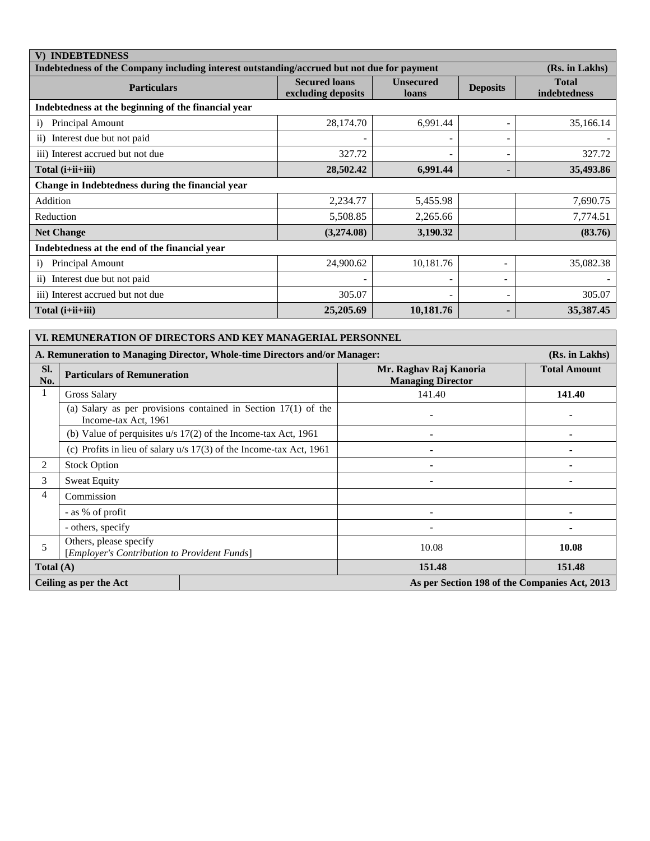| <b>INDEBTEDNESS</b>                                                                                          |                                            |                           |                 |                                     |  |  |  |  |  |
|--------------------------------------------------------------------------------------------------------------|--------------------------------------------|---------------------------|-----------------|-------------------------------------|--|--|--|--|--|
| Indebtedness of the Company including interest outstanding/accrued but not due for payment<br>(Rs. in Lakhs) |                                            |                           |                 |                                     |  |  |  |  |  |
| <b>Particulars</b>                                                                                           | <b>Secured loans</b><br>excluding deposits | <b>Unsecured</b><br>loans | <b>Deposits</b> | <b>Total</b><br><b>indebtedness</b> |  |  |  |  |  |
| Indebtedness at the beginning of the financial year                                                          |                                            |                           |                 |                                     |  |  |  |  |  |
| Principal Amount<br>$\bf{1}$                                                                                 | 28,174.70                                  | 6,991.44                  |                 | 35,166.14                           |  |  |  |  |  |
| ii) Interest due but not paid                                                                                |                                            |                           |                 |                                     |  |  |  |  |  |
| iii) Interest accrued but not due                                                                            | 327.72                                     |                           | -               | 327.72                              |  |  |  |  |  |
| Total $(i+iii+iii)$                                                                                          | 28,502.42                                  | 6,991.44                  |                 | 35,493.86                           |  |  |  |  |  |
| Change in Indebtedness during the financial year                                                             |                                            |                           |                 |                                     |  |  |  |  |  |
| Addition                                                                                                     | 2,234.77                                   | 5,455.98                  |                 | 7,690.75                            |  |  |  |  |  |
| Reduction                                                                                                    | 5,508.85                                   | 2,265.66                  |                 | 7,774.51                            |  |  |  |  |  |
| <b>Net Change</b>                                                                                            | (3,274.08)                                 | 3,190.32                  |                 | (83.76)                             |  |  |  |  |  |
| Indebtedness at the end of the financial year                                                                |                                            |                           |                 |                                     |  |  |  |  |  |
| Principal Amount<br>$\bf{1)}$                                                                                | 24,900.62                                  | 10,181.76                 |                 | 35,082.38                           |  |  |  |  |  |
| Interest due but not paid<br>$\overline{11}$                                                                 |                                            |                           | ۰               |                                     |  |  |  |  |  |
| iii) Interest accrued but not due                                                                            | 305.07                                     |                           | -               | 305.07                              |  |  |  |  |  |
| Total $(i+iii+iii)$                                                                                          | 25,205.69                                  | 10,181.76                 |                 | 35,387.45                           |  |  |  |  |  |

| VI. REMUNERATION OF DIRECTORS AND KEY MANAGERIAL PERSONNEL                                   |                                                                        |                                                                       |                                                    |                     |  |  |  |
|----------------------------------------------------------------------------------------------|------------------------------------------------------------------------|-----------------------------------------------------------------------|----------------------------------------------------|---------------------|--|--|--|
| A. Remuneration to Managing Director, Whole-time Directors and/or Manager:<br>(Rs. in Lakhs) |                                                                        |                                                                       |                                                    |                     |  |  |  |
| SI.<br>No.                                                                                   | <b>Particulars of Remuneration</b>                                     |                                                                       | Mr. Raghav Raj Kanoria<br><b>Managing Director</b> | <b>Total Amount</b> |  |  |  |
| 1                                                                                            | <b>Gross Salary</b>                                                    |                                                                       | 141.40                                             | 141.40              |  |  |  |
|                                                                                              | Income-tax Act, 1961                                                   | (a) Salary as per provisions contained in Section $17(1)$ of the      |                                                    |                     |  |  |  |
|                                                                                              |                                                                        | (b) Value of perquisites $u/s$ 17(2) of the Income-tax Act, 1961      |                                                    |                     |  |  |  |
|                                                                                              |                                                                        | (c) Profits in lieu of salary $u/s$ 17(3) of the Income-tax Act, 1961 |                                                    |                     |  |  |  |
| 2                                                                                            | <b>Stock Option</b>                                                    |                                                                       |                                                    |                     |  |  |  |
| 3                                                                                            | <b>Sweat Equity</b>                                                    |                                                                       | $\blacksquare$                                     |                     |  |  |  |
| 4                                                                                            | Commission                                                             |                                                                       |                                                    |                     |  |  |  |
|                                                                                              | - as % of profit                                                       |                                                                       |                                                    |                     |  |  |  |
|                                                                                              | - others, specify                                                      |                                                                       |                                                    |                     |  |  |  |
| 5                                                                                            | Others, please specify<br>[Employer's Contribution to Provident Funds] |                                                                       | 10.08                                              | 10.08               |  |  |  |
| Total $(A)$                                                                                  |                                                                        |                                                                       | 151.48                                             | 151.48              |  |  |  |
|                                                                                              | Ceiling as per the Act                                                 |                                                                       | As per Section 198 of the Companies Act, 2013      |                     |  |  |  |